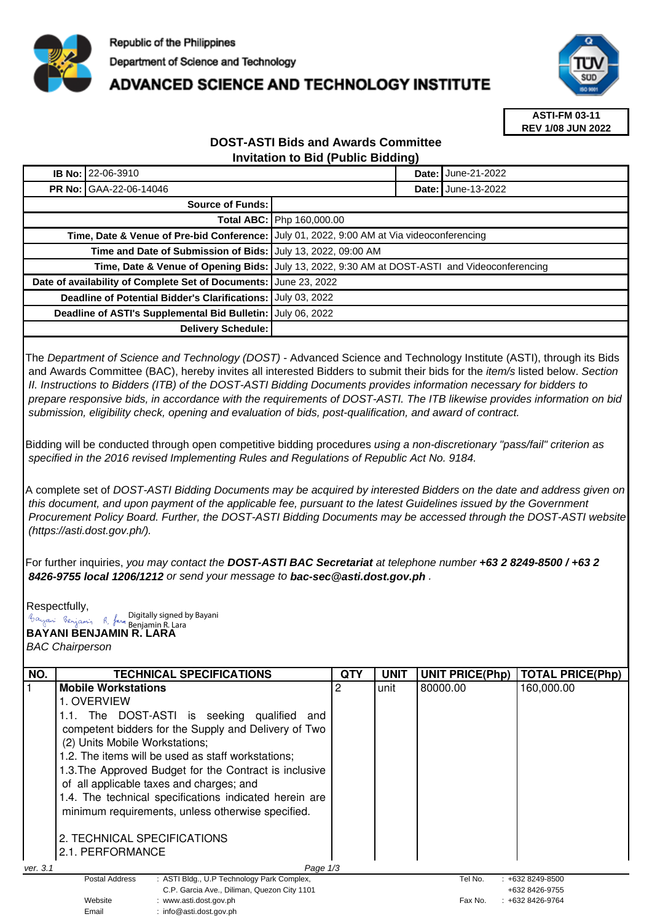

## **ADVANCED SCIENCE AND TECHNOLOGY INSTITUTE**



**ASTI-FM 03-11 REV 1/08 JUN 2022**

## **DOST-ASTI Bids and Awards Committee Invitation to Bid (Public Bidding)**

| <b>IB No: 22-06-3910</b>                                                                  |                                                                                               |  |  |  |
|-------------------------------------------------------------------------------------------|-----------------------------------------------------------------------------------------------|--|--|--|
| <b>PR No: GAA-22-06-14046</b>                                                             | <b>Date: June-13-2022</b>                                                                     |  |  |  |
| <b>Source of Funds:</b>                                                                   |                                                                                               |  |  |  |
| Total ABC: Php 160,000.00                                                                 |                                                                                               |  |  |  |
| Time, Date & Venue of Pre-bid Conference: July 01, 2022, 9:00 AM at Via videoconferencing |                                                                                               |  |  |  |
| Time and Date of Submission of Bids: July 13, 2022, 09:00 AM                              |                                                                                               |  |  |  |
|                                                                                           | Time, Date & Venue of Opening Bids: July 13, 2022, 9:30 AM at DOST-ASTI and Videoconferencing |  |  |  |
| Date of availability of Complete Set of Documents:<br><b>June 23, 2022</b>                |                                                                                               |  |  |  |
| <b>Deadline of Potential Bidder's Clarifications:</b><br>July 03, 2022                    |                                                                                               |  |  |  |
| July 06, 2022<br>Deadline of ASTI's Supplemental Bid Bulletin:                            |                                                                                               |  |  |  |
| Delivery Schedule:                                                                        |                                                                                               |  |  |  |

The Department of Science and Technology (DOST) - Advanced Science and Technology Institute (ASTI), through its Bids and Awards Committee (BAC), hereby invites all interested Bidders to submit their bids for the *item/s* listed below. Section II. Instructions to Bidders (ITB) of the DOST-ASTI Bidding Documents provides information necessary for bidders to prepare responsive bids, in accordance with the requirements of DOST-ASTI. The ITB likewise provides information on bid submission, eligibility check, opening and evaluation of bids, post-qualification, and award of contract.

Bidding will be conducted through open competitive bidding procedures using a non-discretionary "pass/fail" criterion as specified in the 2016 revised Implementing Rules and Regulations of Republic Act No. 9184.

A complete set of DOST-ASTI Bidding Documents may be acquired by interested Bidders on the date and address given on this document, and upon payment of the applicable fee, pursuant to the latest Guidelines issued by the Government Procurement Policy Board. Further, the DOST-ASTI Bidding Documents may be accessed through the DOST-ASTI website (https://asti.dost.gov.ph/).

For further inquiries, you may contact the **DOST-ASTI BAC Secretariat** at telephone number **+63 2 8249-8500 / +63 2 8426-9755 local 1206/1212** or send your message to **bac-sec@asti.dost.gov.ph** .

Respectfully, Digitally signed by Bayani Benjamin R. Lara

Email : info@asti.dost.gov.ph

**BAYANI BENJAMIN R. LARA** 

BAC Chairperson

| NO.                  | <b>TECHNICAL SPECIFICATIONS</b>                              | <b>QTY</b> | <b>UNIT</b> | <b>UNIT PRICE(Php)</b> | <b>TOTAL PRICE(Php)</b> |
|----------------------|--------------------------------------------------------------|------------|-------------|------------------------|-------------------------|
|                      | <b>Mobile Workstations</b>                                   | 2          | unit        | 80000.00               | 160,000.00              |
|                      | 1. OVERVIEW                                                  |            |             |                        |                         |
|                      | 1.1. The DOST-ASTI is seeking qualified and                  |            |             |                        |                         |
|                      | competent bidders for the Supply and Delivery of Two         |            |             |                        |                         |
|                      | (2) Units Mobile Workstations;                               |            |             |                        |                         |
|                      | 1.2. The items will be used as staff workstations;           |            |             |                        |                         |
|                      | 1.3. The Approved Budget for the Contract is inclusive       |            |             |                        |                         |
|                      | of all applicable taxes and charges; and                     |            |             |                        |                         |
|                      | 1.4. The technical specifications indicated herein are       |            |             |                        |                         |
|                      | minimum requirements, unless otherwise specified.            |            |             |                        |                         |
|                      |                                                              |            |             |                        |                         |
|                      | 2. TECHNICAL SPECIFICATIONS                                  |            |             |                        |                         |
|                      | 2.1. PERFORMANCE                                             |            |             |                        |                         |
| Page 1/3<br>ver. 3.1 |                                                              |            |             |                        |                         |
|                      | Postal Address<br>: ASTI Bldg., U.P Technology Park Complex, |            |             | Tel No.                | $: +6328249 - 8500$     |
|                      | C.P. Garcia Ave., Diliman, Quezon City 1101                  |            |             |                        | +632 8426-9755          |
|                      | Website<br>www.asti.dost.gov.ph                              |            |             | Fax No.                | +632 8426-9764          |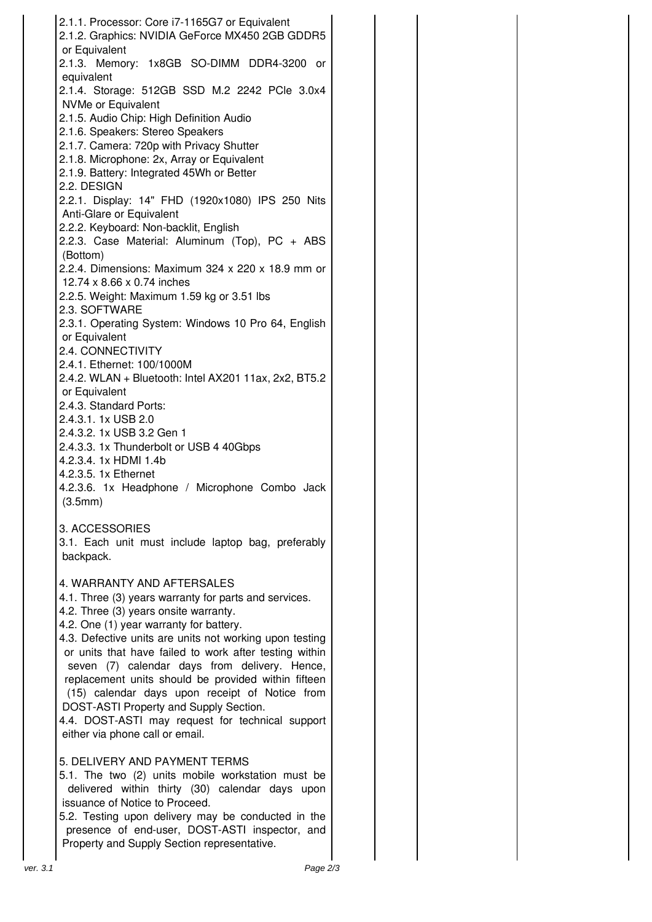2.1.1. Processor: Core i7-1165G7 or Equivalent 2.1.2. Graphics: NVIDIA GeForce MX450 2GB GDDR5 or Equivalent 2.1.3. Memory: 1x8GB SO-DIMM DDR4-3200 or equivalent 2.1.4. Storage: 512GB SSD M.2 2242 PCle 3.0x4 NVMe or Equivalent 2.1.5. Audio Chip: High Definition Audio 2.1.6. Speakers: Stereo Speakers 2.1.7. Camera: 720p with Privacy Shutter 2.1.8. Microphone: 2x, Array or Equivalent 2.1.9. Battery: Integrated 45Wh or Better 2.2. DESIGN 2.2.1. Display: 14" FHD (1920x1080) IPS 250 Nits Anti-Glare or Equivalent 2.2.2. Keyboard: Non-backlit, English 2.2.3. Case Material: Aluminum (Top), PC + ABS (Bottom) 2.2.4. Dimensions: Maximum 324 x 220 x 18.9 mm or 12.74 x 8.66 x 0.74 inches 2.2.5. Weight: Maximum 1.59 kg or 3.51 lbs 2.3. SOFTWARE 2.3.1. Operating System: Windows 10 Pro 64, English or Equivalent 2.4. CONNECTIVITY 2.4.1. Ethernet: 100/1000M 2.4.2. WLAN + Bluetooth: Intel AX201 11ax, 2x2, BT5.2 or Equivalent 2.4.3. Standard Ports: 2.4.3.1. 1x USB 2.0 2.4.3.2. 1x USB 3.2 Gen 1 2.4.3.3. 1x Thunderbolt or USB 4 40Gbps 4.2.3.4. 1x HDMI 1.4b 4.2.3.5. 1x Ethernet 4.2.3.6. 1x Headphone / Microphone Combo Jack (3.5mm) 3. ACCESSORIES 3.1. Each unit must include laptop bag, preferably backpack. 4. WARRANTY AND AFTERSALES 4.1. Three (3) years warranty for parts and services. 4.2. Three (3) years onsite warranty. 4.2. One (1) year warranty for battery. 4.3. Defective units are units not working upon testing or units that have failed to work after testing within seven (7) calendar days from delivery. Hence, replacement units should be provided within fifteen (15) calendar days upon receipt of Notice from DOST-ASTI Property and Supply Section. 4.4. DOST-ASTI may request for technical support either via phone call or email. 5. DELIVERY AND PAYMENT TERMS 5.1. The two (2) units mobile workstation must be delivered within thirty (30) calendar days upon issuance of Notice to Proceed. 5.2. Testing upon delivery may be conducted in the presence of end-user, DOST-ASTI inspector, and Property and Supply Section representative.